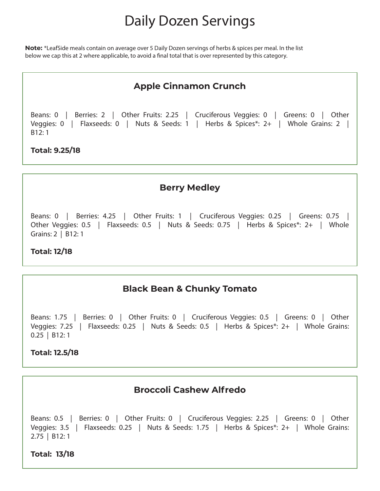# Daily Dozen Servings

**Note:** \*LeafSide meals contain on average over 5 Daily Dozen servings of herbs & spices per meal. In the list below we cap this at 2 where applicable, to avoid a final total that is over represented by this category.

# **Apple Cinnamon Crunch**

Beans: 0 | Berries: 2 | Other Fruits: 2.25 | Cruciferous Veggies: 0 | Greens: 0 | Other Veggies: 0 | Flaxseeds: 0 | Nuts & Seeds: 1 | Herbs & Spices\*: 2+ | Whole Grains: 2 | B12: 1

#### **Total: 9.25/18**

#### **Berry Medley**

Beans: 0 | Berries: 4.25 | Other Fruits: 1 | Cruciferous Veggies: 0.25 | Greens: 0.75 | Other Veggies: 0.5 | Flaxseeds: 0.5 | Nuts & Seeds: 0.75 | Herbs & Spices\*: 2+ | Whole Grains: 2 | B12: 1

#### **Total: 12/18**

# **Black Bean & Chunky Tomato**

Beans: 1.75 | Berries: 0 | Other Fruits: 0 | Cruciferous Veggies: 0.5 | Greens: 0 | Other Veggies: 7.25 | Flaxseeds: 0.25 | Nuts & Seeds: 0.5 | Herbs & Spices\*: 2+ | Whole Grains: 0.25 | B12: 1

#### **Total: 12.5/18**

## **Broccoli Cashew Alfredo**

Beans: 0.5 | Berries: 0 | Other Fruits: 0 | Cruciferous Veggies: 2.25 | Greens: 0 | Other Veggies: 3.5 | Flaxseeds: 0.25 | Nuts & Seeds: 1.75 | Herbs & Spices\*: 2+ | Whole Grains: 2.75 | B12: 1

**Total: 13/18**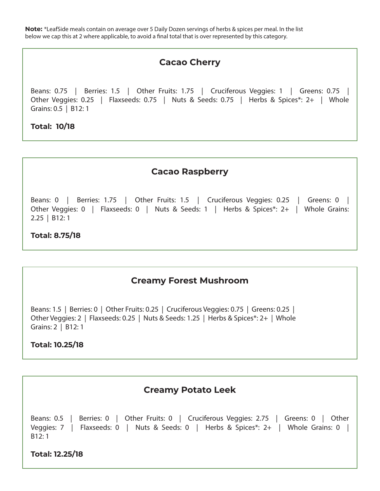# **Cacao Cherry**

Beans: 0.75 | Berries: 1.5 | Other Fruits: 1.75 | Cruciferous Veggies: 1 | Greens: 0.75 | Other Veggies: 0.25 | Flaxseeds: 0.75 | Nuts & Seeds: 0.75 | Herbs & Spices\*: 2+ | Whole Grains: 0.5 | B12: 1

**Total: 10/18**

## **Cacao Raspberry**

Beans: 0 | Berries: 1.75 | Other Fruits: 1.5 | Cruciferous Veggies: 0.25 | Greens: 0 | Other Veggies: 0 | Flaxseeds: 0 | Nuts & Seeds: 1 | Herbs & Spices\*: 2+ | Whole Grains: 2.25 | B12: 1

#### **Total: 8.75/18**

## **Creamy Forest Mushroom**

Beans: 1.5 | Berries: 0 | Other Fruits: 0.25 | Cruciferous Veggies: 0.75 | Greens: 0.25 | Other Veggies: 2 | Flaxseeds: 0.25 | Nuts & Seeds: 1.25 | Herbs & Spices\*: 2+ | Whole Grains: 2 | B12: 1

#### **Total: 10.25/18**

## **Creamy Potato Leek**

```
Beans: 0.5 | Berries: 0 | Other Fruits: 0 | Cruciferous Veggies: 2.75 | Greens: 0 | Other 
Veggies: 7 | Flaxseeds: 0 | Nuts & Seeds: 0 | Herbs & Spices*: 2+ | Whole Grains: 0 |
B12: 1
```
**Total: 12.25/18**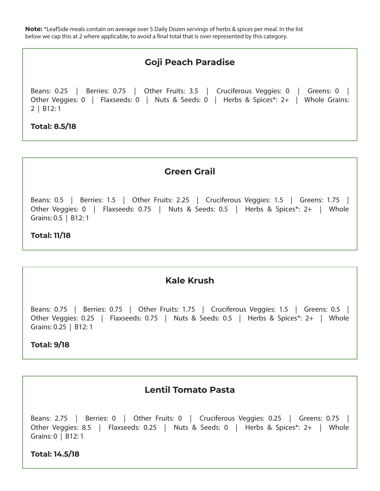# **Goji Peach Paradise**

Beans: 0.25 | Berries: 0.75 | Other Fruits: 3.5 | Cruciferous Veggies: 0 | Greens: 0 | Other Veggies: 0 | Flaxseeds: 0 | Nuts & Seeds: 0 | Herbs & Spices\*: 2+ | Whole Grains: 2 | B12: 1

#### **Total: 8.5/18**

## **Green Grail**

Beans: 0.5 | Berries: 1.5 | Other Fruits: 2.25 | Cruciferous Veggies: 1.5 | Greens: 1.75 | Other Veggies: 0 | Flaxseeds: 0.75 | Nuts & Seeds: 0.5 | Herbs & Spices\*: 2+ | Whole Grains: 0.5 | B12: 1

#### **Total: 11/18**

## **Kale Krush**

Beans: 0.75 | Berries: 0.75 | Other Fruits: 1.75 | Cruciferous Veggies: 1.5 | Greens: 0.5 | Other Veggies: 0.25 | Flaxseeds: 0.75 | Nuts & Seeds: 0.5 | Herbs & Spices\*: 2+ | Whole Grains: 0.25 | B12: 1

#### **Total: 9/18**

## **Lentil Tomato Pasta**

Beans: 2.75 | Berries: 0 | Other Fruits: 0 | Cruciferous Veggies: 0.25 | Greens: 0.75 | Other Veggies: 8.5 | Flaxseeds: 0.25 | Nuts & Seeds: 0 | Herbs & Spices\*: 2+ | Whole Grains: 0 | B12: 1

**Total: 14.5/18**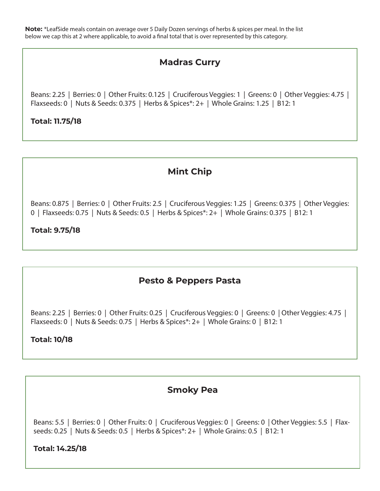# **Madras Curry**

Beans: 2.25 | Berries: 0 | Other Fruits: 0.125 | Cruciferous Veggies: 1 | Greens: 0 | Other Veggies: 4.75 | Flaxseeds: 0 | Nuts & Seeds: 0.375 | Herbs & Spices\*: 2+ | Whole Grains: 1.25 | B12: 1

## **Total: 11.75/18**

# **Mint Chip**

Beans: 0.875 | Berries: 0 | Other Fruits: 2.5 | Cruciferous Veggies: 1.25 | Greens: 0.375 | Other Veggies: 0 | Flaxseeds: 0.75 | Nuts & Seeds: 0.5 | Herbs & Spices\*: 2+ | Whole Grains: 0.375 | B12: 1

#### **Total: 9.75/18**

# **Pesto & Peppers Pasta**

Beans: 2.25 | Berries: 0 | Other Fruits: 0.25 | Cruciferous Veggies: 0 | Greens: 0 | Other Veggies: 4.75 | Flaxseeds: 0 | Nuts & Seeds: 0.75 | Herbs & Spices\*: 2+ | Whole Grains: 0 | B12: 1

## **Total: 10/18**

## **Smoky Pea**

Beans: 5.5 | Berries: 0 | Other Fruits: 0 | Cruciferous Veggies: 0 | Greens: 0 | Other Veggies: 5.5 | Flaxseeds: 0.25 | Nuts & Seeds: 0.5 | Herbs & Spices\*: 2+ | Whole Grains: 0.5 | B12: 1

#### **Total: 14.25/18**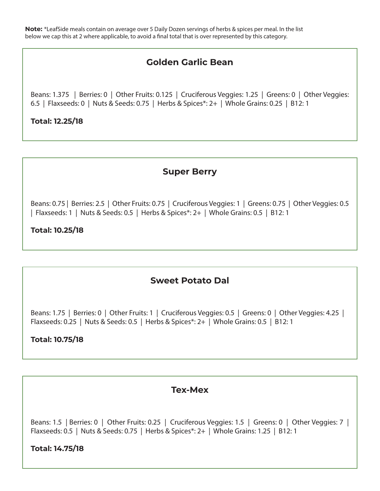# **Golden Garlic Bean**

Beans: 1.375 | Berries: 0 | Other Fruits: 0.125 | Cruciferous Veggies: 1.25 | Greens: 0 | Other Veggies: 6.5 | Flaxseeds: 0 | Nuts & Seeds: 0.75 | Herbs & Spices\*: 2+ | Whole Grains: 0.25 | B12: 1

## **Total: 12.25/18**

# **Super Berry**

Beans: 0.75 | Berries: 2.5 | Other Fruits: 0.75 | Cruciferous Veggies: 1 | Greens: 0.75 | Other Veggies: 0.5 | Flaxseeds: 1 | Nuts & Seeds: 0.5 | Herbs & Spices\*: 2+ | Whole Grains: 0.5 | B12: 1

**Total: 10.25/18**

## **Sweet Potato Dal**

Beans: 1.75 | Berries: 0 | Other Fruits: 1 | Cruciferous Veggies: 0.5 | Greens: 0 | Other Veggies: 4.25 | Flaxseeds: 0.25 | Nuts & Seeds: 0.5 | Herbs & Spices\*: 2+ | Whole Grains: 0.5 | B12: 1

## **Total: 10.75/18**

## **Tex-Mex**

Beans: 1.5 | Berries: 0 | Other Fruits: 0.25 | Cruciferous Veggies: 1.5 | Greens: 0 | Other Veggies: 7 | Flaxseeds: 0.5 | Nuts & Seeds: 0.75 | Herbs & Spices\*: 2+ | Whole Grains: 1.25 | B12: 1

**Total: 14.75/18**